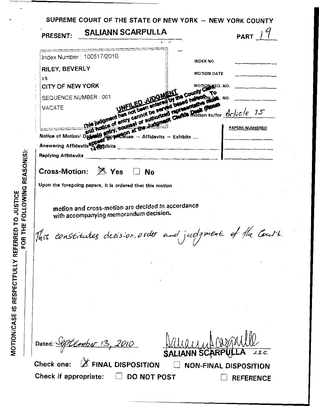| <b>PRESENT:</b>                           | <b>SALIANN SCARPULLA</b>                                                                                                                                                              |                                                       | <b>PART</b> |
|-------------------------------------------|---------------------------------------------------------------------------------------------------------------------------------------------------------------------------------------|-------------------------------------------------------|-------------|
|                                           |                                                                                                                                                                                       |                                                       |             |
|                                           | Index Number: 100517/2010                                                                                                                                                             | INDEX NO.                                             |             |
| RILEY, BEVERLY                            |                                                                                                                                                                                       | <b>MOTION DATE</b>                                    |             |
| VS.                                       |                                                                                                                                                                                       |                                                       |             |
| <b>CITY OF NEW YORK</b>                   |                                                                                                                                                                                       | MOTION REQ. NO.                                       |             |
| SEQUENCE NUMBER: 001                      |                                                                                                                                                                                       |                                                       | NO.         |
| <b>VACATE</b>                             | This judgment has not been entered<br>and notice of entry cannot be served<br>This judgment antry cannot be seen a repre-<br>Notice of Motion/ Oggash Showareon at the Judgment Chart | annot be seen in representative freezes               |             |
|                                           |                                                                                                                                                                                       |                                                       |             |
|                                           | RopeCause — Affidavits — Exhibits                                                                                                                                                     |                                                       |             |
| Answering Affidavits <sup>80008</sup> The |                                                                                                                                                                                       |                                                       |             |
| <b>Replying Affidavits</b>                |                                                                                                                                                                                       |                                                       |             |
|                                           | Cross-Motion: $\mathbb{R}$ Yes $\Box$ No<br>Upon the foregoing papers, it is ordered that this motion<br>motion and cross-motion are decided in accordance                            |                                                       |             |
|                                           | with accompanying memorandum decision.                                                                                                                                                |                                                       |             |
|                                           | This constitutes decision, order and judgment of the Court                                                                                                                            |                                                       |             |
|                                           |                                                                                                                                                                                       |                                                       |             |
|                                           |                                                                                                                                                                                       |                                                       |             |
|                                           |                                                                                                                                                                                       |                                                       |             |
|                                           |                                                                                                                                                                                       |                                                       |             |
|                                           |                                                                                                                                                                                       |                                                       |             |
|                                           |                                                                                                                                                                                       |                                                       |             |
|                                           |                                                                                                                                                                                       |                                                       |             |
|                                           |                                                                                                                                                                                       |                                                       | J.S.C.      |
| Check one:                                | Dated: September 13, 2010<br>$\mathbb X$ FINAL DISPOSITION                                                                                                                            | <b>SALIANN SCARPI</b><br><b>NON-FINAL DISPOSITION</b> |             |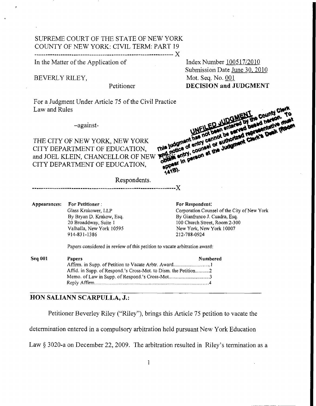## SUPREME COURT OF THE STATE OF NEW YORK COUNTY OF NEW YORK: CIVIL TERM: PART 19 X **-----1---\_\_1\_\_\_\_\_\_\_"--------------------------------~----------**

In the Matter of the Application of

BEVERLY RILEY,

For a Judgment Under Article *75* of the Civil Practice Law and Rules

-against-

THE CITY OF NEW YORK, NEW YORK CITY DEPARTMENT OF EDUCATION, WALL WE WANT THE WARRY ORK CITY DEPARTMENT OF EDUCATION, this hodics of entry can't<br>and JOEL KLEIN, CHANCELLOR OF NEW PORK antry counsel of CITY DEPARTMENT OF EDUCATION,

Index Number 1005 17/20 10 Submission Date June 30, 2010 Mot. **Seq.** No. *001*  Petitioner **DECISION and JUDGMENT** 

FOR Medica of entry cannot be<br>This judgment has not cannot be<br>This indice of entry cannot or sub Mi not been be served<br>Idgment has not cannot be served<br>Idgment nash cannot authorized<br>In entry, counset the Judgment<br>Mi entry, counset the Judgment post in person at the Judgment

Respondents.

---------------------X

**Appearances: For Petitioner** : **Glass** Krakower, LLP By Bryan D. **Krakow,** Esq. 20 Broaddway, Suite I Valhalla, New *York* 10595 914-83 1-1386

**For Respondent:**  Corporation Counsel of the City of **New** York By Gianfranco **J.** Cuadra, **Esq.**  100 Church Street, Room 2-300 New **York,** New **York** I0007

*2* **12-788-0924** 

Papers considered in review of this petition to **vacate** arbitration award:

| <b>Seq 001</b> | <b>Papers</b>                                  | Numbered |
|----------------|------------------------------------------------|----------|
|                |                                                |          |
|                |                                                |          |
|                | Memo. of Law in Supp. of Respond.'s Cross-Mot3 |          |
|                |                                                |          |

## **HON SALIANN SCARPULLA, J.:**

Petitioner Beverley Riley ("Riley"), brings this Article 75 petition to vacate the

determination entered in a compulsory arbitration held pursuant New York Education

Law § 3020-a on December 22, 2009. The arbitration resulted in Riley's termination as a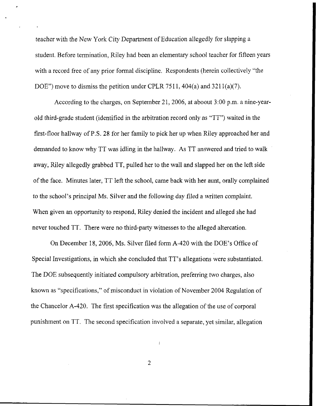teacher with the New York City Department of Education allegedly for slapping a student. Before termination, Riley had been an elementary school teacher for fifteen years with a record free of any prior formal discipline. Respondents (herein collectively "the DOE") move to dismiss the petition under CPLR 7511, 404(a) and  $3211(a)(7)$ .

*P* 

According to the charges, on September 21, 2006, at aboout 3:00 p.m. a nine-yearold third-grade student (identified in the arbitration record only as "TT") waited in the first-floor hallway of P.S. **28** for her family to pick her up when Riley approached her and demanded to know why TT was idling in the hallway. **As** TT answered and tried to walk away, Riley allegedly grabbed TT, pulled her to the wall and slapped her on the left side of the face. Minutes later, TT left the school, came back with her aunt, orally complained to the school's principal Ms. Silver and the following day filed *a* written complaint. When given an opportunity to respond, Riley denied the incident and alleged she had never touched TT. There were no third-party witnesses to the alleged altercation.

On December 18,2006, Ms. Silver filed form A-420 with the DOE'S Office of Special Investigations, in which she concluded that TT's allegations were substantiated, The DOE subsequently initiated compulsory arbitration, preferring two charges, also known as "specifications," of misconduct in violation of November 2004 Regulation of the Chancelor A-420. The first specification was the allegation of the use of corporal punishment on TT. The second specification involved a separate, yet similar, allegation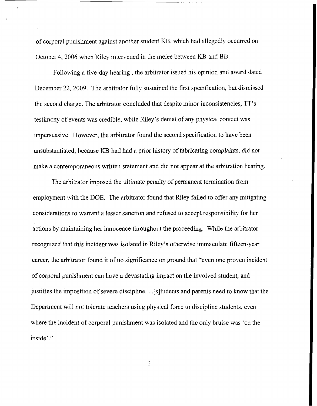of corporal punishment against another student KB, which had allegedly occurred on October 4,2006 when Riley intervened in the melee between KB and BB.

Following a five-day hearing, the arbitrator issued his opinion and award dated December 22, 2009. The arbitrator fully sustained the first specification, but dismissed the second charge. The arbitrator concluded that despite minor inconsistencies, TT's testimony of events was credible, while Riley's denial of any physical contact was unpersuasive. However, the arbitrator found the second specification to have been unsubstantiated, because KB had had a prior history of fabricating complaints, did not make a contemporaneous written statement and did not appear at the arbitration hearing.

The arbitrator imposed the ultimate penalty of permanent termination from employment with the DOE. The arbitrator found that Riley failed to offer any mitigating considerations to warrant **a** lesser sanction and refused to accept responsibility for her actions by maintaining her innocence throughout the proceeding. While the arbitrator recognized that this incident was isolated in Riley's otherwise immaculate fifteen-year career, the arbitrator found it of no significance on ground that "even one proven incident of corporal punishment can have a devastating impact on the involved student, and justifies the imposition of severe discipline. . .[s]tudents and parents need to know that the Department will not tolerate teachers using physical force to discipline students, even where the incident of corporal punishment was isolated and the only bruise was 'on the inside'.''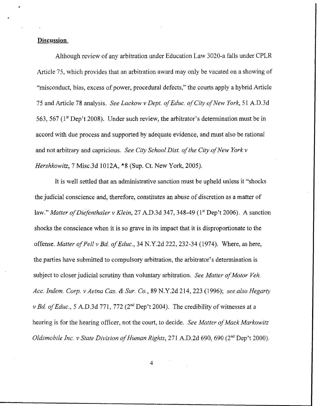## **Discussion**

Although review of any arbitration under Education Law 3020-a falls under CPLR Article 75, which provides that an arbitration award may only be vacated on a showing of "misconduct, bias, excess of power, procedural defects," the courts apply a hybrid Article 75 and Article *78* analysis. *See Luckow* v *Dept. of Educ. of City of New York, 5* 1 A.D.3d 563, *567* ( **lst** Dep't 2008). Under such review, the arbitrator's determination must be in accord with due process and supported by adequate evidence, and must also be rational and not arbitrary and capricious. *See City School Dist. of the City of New York v Hershkowitz, 7* Misc.3d 1012A, **\*8** (Sup. Ct. New York, 2005).

It is well settled that an administrative sanction must be upheld unless it "shocks the judicial conscience and, therefore, constitutes an abuse of discretion as a matter of law." *Mutter of Diefenthaler v Klein, 27* A.D.3d **347,** 348-49 (1" Dep't 2006). **A** sanction shocks the conscience when it is so grave in its impact that it is disproportionate to the offense. *Matter of Pel1 v Bd. of Educ.,* 34 N.Y.2d 222, 232-34 (1974). Where, as here, the parties have submitted to compulsory arbitration, the arbitrator's determination is subject to closer judicial scrutiny than voluntary arbitration. *See Matter of Motor Yeh. Acc. Indem. Corp. v Aetna Cas.* & *Sur.* Co., 89 N.Y.2d 214,223 (1996); *see also Hegarty v Bd. of Educ., 5* A.D.3d **771,** 772 (2nd Dep't 2004). The credibility of witnesses at a hearing is for the hearing officer, not the court, to decide. *See Matter of Mack Markowitz Oldsmobile Inc. v State Division of Human Rights, 271 A.D.2d 690, 690 (2<sup>nd</sup> Dep't 2000).*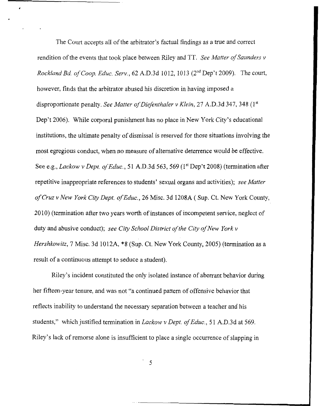The Court accepts all of the arbitrator's factual findings as **a** true and correct rendition of the events that took place between Riley and TT. *See Matter of Sazinders v Rockland Bd. of Coop, Educ. Serv., 62 A.D.3d 1012, 1013 (2<sup>nd</sup> Dep't 2009). The court,* however, finds that the arbitrator abused his discretion in having imposed a disproportionate penalty. *See Matter of Diefenthaler v Klein, 27* A.D.3d 347, 348 (1'' Dep't 2006). While corporal punishment has no place in New **York** City's educational institutions, the ultimate penalty of dismissal is reserved for those situations involving the most egregious conduct, when no measure of alternative deterrence would be effective. See e.g., *Lackow v Dept. of Educ.*, 51 A.D.3d 563, 569 (1<sup>st</sup> Dep't 2008) (termination after repetitive inappropriate references to students' sexual organs and activities); *see Matter of Cruz v New York City Dept. of Educ., 26* Misc. 3d 1208A ( Sup. Ct. New **York** County, 20 10) (termination after two years worth of instances of incompetent service, neglect of duty and abusive conduct); *see City School District of the City of New York v Hershkowitz, 7* Misc. 3d 1012A, \*8 (Sup. Ct. New York County, 2005) (termination as a result of a continuous attempt to seduce a student).

*4* 

Riley's incident constituted the only isolated instance of aberrant behavior during her fifteen-year tenure, and was not "a continued pattern of offensive behavior that reflects inability to understand the necessary separation between a teacher and his students," which justified termination in *Lackow* v *Dept. of Educ.,* **5** 1 A.D.3d at 569. Riley's lack of remorse alone is insufficient to place a single occurrence of slapping in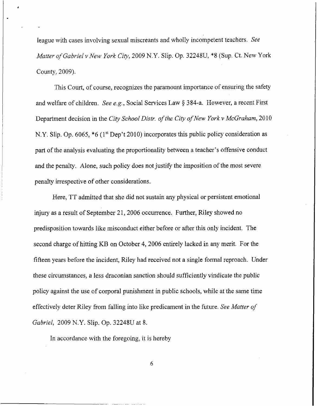league with cases involving sexual miscreants and wholly incompetent teachers. *See Matter of Gubriel v New York City,* 2009 N.Y. Slip. Op. 32248U, \$8 **(Sup.** Ct. New York County, 2009).

This Court, of course, recognizes the paramount importance of ensuring the safety and welfare of children. *See e.g.* , Social Services Law *5* 3 84-a. However, a recent First Department decision in the *City School Distr. of the City of New York v McGraham,* 20 10 N.Y. Slip. Op. 6065,  $*6$  (1<sup>st</sup> Dep't 2010) incorporates this public policy consideration as part of the analysis evaluating the proportionality between a teacher's offensive conduct and the penalty. Alone, **such** policy does not justify the imposition of the most severe penalty irrespective of other considerations.

Here, TT admitted that she did not sustain any physical or persistent emotional injury as a result of September 21, 2006 occurrence. Further, Riley showed no predisposition towards like misconduct either before or after this only incident. The second charge of hitting KB on October 4, 2006 entirely lacked in any merit. For the fifteen years before the incident, Riley had received not a single formal reproach. Under these circumstances, a less draconian sanction should sufficiently vindicate the public policy against the use of corporal punishment in public schools, while at the same time effectively deter Riley from falling into like predicament in the future. *See Matter of Gabriel,* 2009 N.Y. Slip. Op. 32248U at 8.

In accordance with the foregoing, it is hereby